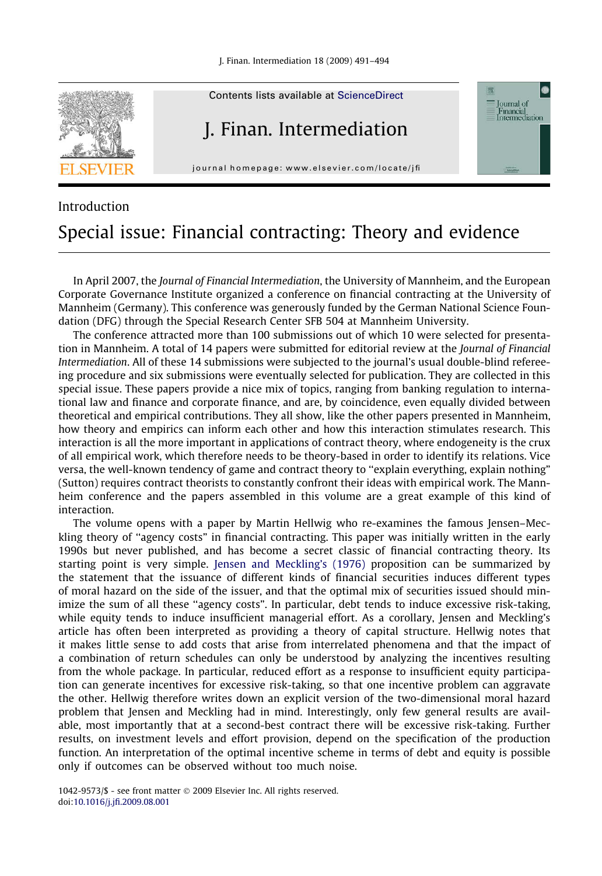J. Finan. Intermediation 18 (2009) 491–494



## Introduction

## Special issue: Financial contracting: Theory and evidence

In April 2007, the Journal of Financial Intermediation, the University of Mannheim, and the European Corporate Governance Institute organized a conference on financial contracting at the University of Mannheim (Germany). This conference was generously funded by the German National Science Foundation (DFG) through the Special Research Center SFB 504 at Mannheim University.

The conference attracted more than 100 submissions out of which 10 were selected for presentation in Mannheim. A total of 14 papers were submitted for editorial review at the Journal of Financial Intermediation. All of these 14 submissions were subjected to the journal's usual double-blind refereeing procedure and six submissions were eventually selected for publication. They are collected in this special issue. These papers provide a nice mix of topics, ranging from banking regulation to international law and finance and corporate finance, and are, by coincidence, even equally divided between theoretical and empirical contributions. They all show, like the other papers presented in Mannheim, how theory and empirics can inform each other and how this interaction stimulates research. This interaction is all the more important in applications of contract theory, where endogeneity is the crux of all empirical work, which therefore needs to be theory-based in order to identify its relations. Vice versa, the well-known tendency of game and contract theory to ''explain everything, explain nothing" (Sutton) requires contract theorists to constantly confront their ideas with empirical work. The Mannheim conference and the papers assembled in this volume are a great example of this kind of interaction.

The volume opens with a paper by Martin Hellwig who re-examines the famous Jensen–Meckling theory of ''agency costs" in financial contracting. This paper was initially written in the early 1990s but never published, and has become a secret classic of financial contracting theory. Its starting point is very simple. [Jensen and Meckling's \(1976\)](#page-2-0) proposition can be summarized by the statement that the issuance of different kinds of financial securities induces different types of moral hazard on the side of the issuer, and that the optimal mix of securities issued should minimize the sum of all these "agency costs". In particular, debt tends to induce excessive risk-taking, while equity tends to induce insufficient managerial effort. As a corollary, Jensen and Meckling's article has often been interpreted as providing a theory of capital structure. Hellwig notes that it makes little sense to add costs that arise from interrelated phenomena and that the impact of a combination of return schedules can only be understood by analyzing the incentives resulting from the whole package. In particular, reduced effort as a response to insufficient equity participation can generate incentives for excessive risk-taking, so that one incentive problem can aggravate the other. Hellwig therefore writes down an explicit version of the two-dimensional moral hazard problem that Jensen and Meckling had in mind. Interestingly, only few general results are available, most importantly that at a second-best contract there will be excessive risk-taking. Further results, on investment levels and effort provision, depend on the specification of the production function. An interpretation of the optimal incentive scheme in terms of debt and equity is possible only if outcomes can be observed without too much noise.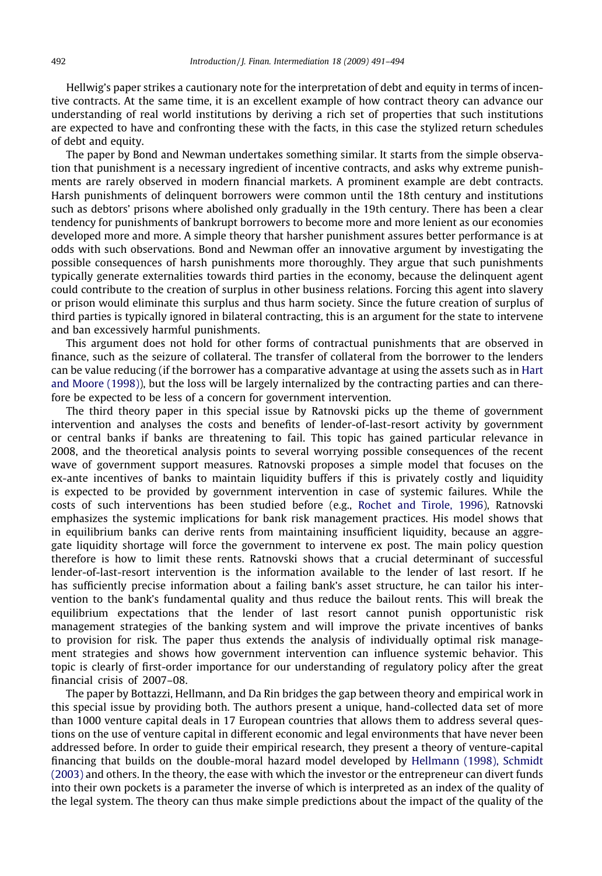Hellwig's paper strikes a cautionary note for the interpretation of debt and equity in terms of incentive contracts. At the same time, it is an excellent example of how contract theory can advance our understanding of real world institutions by deriving a rich set of properties that such institutions are expected to have and confronting these with the facts, in this case the stylized return schedules of debt and equity.

The paper by Bond and Newman undertakes something similar. It starts from the simple observation that punishment is a necessary ingredient of incentive contracts, and asks why extreme punishments are rarely observed in modern financial markets. A prominent example are debt contracts. Harsh punishments of delinquent borrowers were common until the 18th century and institutions such as debtors' prisons where abolished only gradually in the 19th century. There has been a clear tendency for punishments of bankrupt borrowers to become more and more lenient as our economies developed more and more. A simple theory that harsher punishment assures better performance is at odds with such observations. Bond and Newman offer an innovative argument by investigating the possible consequences of harsh punishments more thoroughly. They argue that such punishments typically generate externalities towards third parties in the economy, because the delinquent agent could contribute to the creation of surplus in other business relations. Forcing this agent into slavery or prison would eliminate this surplus and thus harm society. Since the future creation of surplus of third parties is typically ignored in bilateral contracting, this is an argument for the state to intervene and ban excessively harmful punishments.

This argument does not hold for other forms of contractual punishments that are observed in finance, such as the seizure of collateral. The transfer of collateral from the borrower to the lenders can be value reducing (if the borrower has a comparative advantage at using the assets such as in [Hart](#page-2-0) [and Moore \(1998\)](#page-2-0)), but the loss will be largely internalized by the contracting parties and can therefore be expected to be less of a concern for government intervention.

The third theory paper in this special issue by Ratnovski picks up the theme of government intervention and analyses the costs and benefits of lender-of-last-resort activity by government or central banks if banks are threatening to fail. This topic has gained particular relevance in 2008, and the theoretical analysis points to several worrying possible consequences of the recent wave of government support measures. Ratnovski proposes a simple model that focuses on the ex-ante incentives of banks to maintain liquidity buffers if this is privately costly and liquidity is expected to be provided by government intervention in case of systemic failures. While the costs of such interventions has been studied before (e.g., [Rochet and Tirole, 1996\)](#page-3-0), Ratnovski emphasizes the systemic implications for bank risk management practices. His model shows that in equilibrium banks can derive rents from maintaining insufficient liquidity, because an aggregate liquidity shortage will force the government to intervene ex post. The main policy question therefore is how to limit these rents. Ratnovski shows that a crucial determinant of successful lender-of-last-resort intervention is the information available to the lender of last resort. If he has sufficiently precise information about a failing bank's asset structure, he can tailor his intervention to the bank's fundamental quality and thus reduce the bailout rents. This will break the equilibrium expectations that the lender of last resort cannot punish opportunistic risk management strategies of the banking system and will improve the private incentives of banks to provision for risk. The paper thus extends the analysis of individually optimal risk management strategies and shows how government intervention can influence systemic behavior. This topic is clearly of first-order importance for our understanding of regulatory policy after the great financial crisis of 2007–08.

The paper by Bottazzi, Hellmann, and Da Rin bridges the gap between theory and empirical work in this special issue by providing both. The authors present a unique, hand-collected data set of more than 1000 venture capital deals in 17 European countries that allows them to address several questions on the use of venture capital in different economic and legal environments that have never been addressed before. In order to guide their empirical research, they present a theory of venture-capital financing that builds on the double-moral hazard model developed by [Hellmann \(1998\), Schmidt](#page-2-0) [\(2003\)](#page-2-0) and others. In the theory, the ease with which the investor or the entrepreneur can divert funds into their own pockets is a parameter the inverse of which is interpreted as an index of the quality of the legal system. The theory can thus make simple predictions about the impact of the quality of the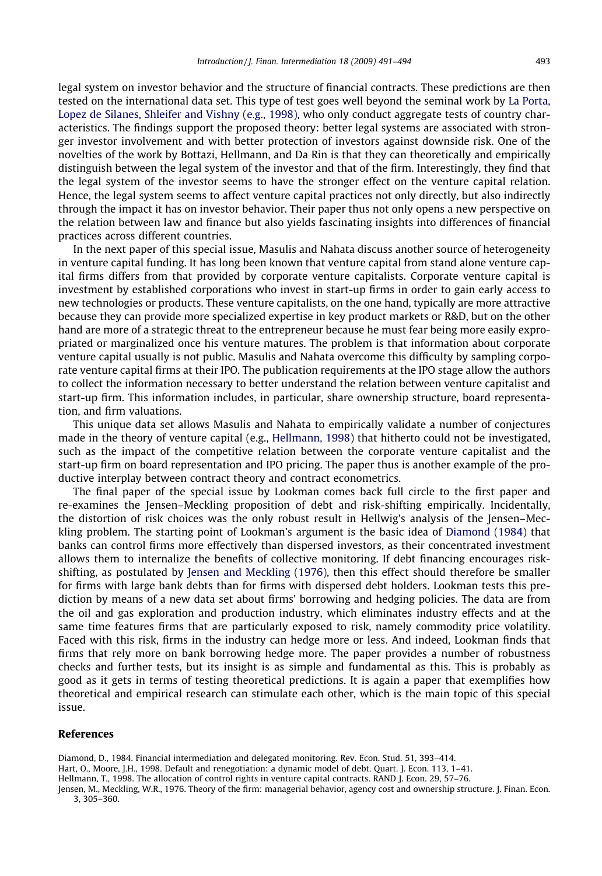<span id="page-2-0"></span>legal system on investor behavior and the structure of financial contracts. These predictions are then tested on the international data set. This type of test goes well beyond the seminal work by [La Porta,](#page-3-0) [Lopez de Silanes, Shleifer and Vishny \(e.g., 1998\)](#page-3-0), who only conduct aggregate tests of country characteristics. The findings support the proposed theory: better legal systems are associated with stronger investor involvement and with better protection of investors against downside risk. One of the novelties of the work by Bottazi, Hellmann, and Da Rin is that they can theoretically and empirically distinguish between the legal system of the investor and that of the firm. Interestingly, they find that the legal system of the investor seems to have the stronger effect on the venture capital relation. Hence, the legal system seems to affect venture capital practices not only directly, but also indirectly through the impact it has on investor behavior. Their paper thus not only opens a new perspective on the relation between law and finance but also yields fascinating insights into differences of financial practices across different countries.

In the next paper of this special issue, Masulis and Nahata discuss another source of heterogeneity in venture capital funding. It has long been known that venture capital from stand alone venture capital firms differs from that provided by corporate venture capitalists. Corporate venture capital is investment by established corporations who invest in start-up firms in order to gain early access to new technologies or products. These venture capitalists, on the one hand, typically are more attractive because they can provide more specialized expertise in key product markets or R&D, but on the other hand are more of a strategic threat to the entrepreneur because he must fear being more easily expropriated or marginalized once his venture matures. The problem is that information about corporate venture capital usually is not public. Masulis and Nahata overcome this difficulty by sampling corporate venture capital firms at their IPO. The publication requirements at the IPO stage allow the authors to collect the information necessary to better understand the relation between venture capitalist and start-up firm. This information includes, in particular, share ownership structure, board representation, and firm valuations.

This unique data set allows Masulis and Nahata to empirically validate a number of conjectures made in the theory of venture capital (e.g., Hellmann, 1998) that hitherto could not be investigated, such as the impact of the competitive relation between the corporate venture capitalist and the start-up firm on board representation and IPO pricing. The paper thus is another example of the productive interplay between contract theory and contract econometrics.

The final paper of the special issue by Lookman comes back full circle to the first paper and re-examines the Jensen–Meckling proposition of debt and risk-shifting empirically. Incidentally, the distortion of risk choices was the only robust result in Hellwig's analysis of the Jensen–Meckling problem. The starting point of Lookman's argument is the basic idea of Diamond (1984) that banks can control firms more effectively than dispersed investors, as their concentrated investment allows them to internalize the benefits of collective monitoring. If debt financing encourages riskshifting, as postulated by Jensen and Meckling (1976), then this effect should therefore be smaller for firms with large bank debts than for firms with dispersed debt holders. Lookman tests this prediction by means of a new data set about firms' borrowing and hedging policies. The data are from the oil and gas exploration and production industry, which eliminates industry effects and at the same time features firms that are particularly exposed to risk, namely commodity price volatility. Faced with this risk, firms in the industry can hedge more or less. And indeed, Lookman finds that firms that rely more on bank borrowing hedge more. The paper provides a number of robustness checks and further tests, but its insight is as simple and fundamental as this. This is probably as good as it gets in terms of testing theoretical predictions. It is again a paper that exemplifies how theoretical and empirical research can stimulate each other, which is the main topic of this special issue.

## References

Diamond, D., 1984. Financial intermediation and delegated monitoring. Rev. Econ. Stud. 51, 393–414. Hart, O., Moore, J.H., 1998. Default and renegotiation: a dynamic model of debt. Quart. J. Econ. 113, 1–41.

Hellmann, T., 1998. The allocation of control rights in venture capital contracts. RAND J. Econ. 29, 57–76.

Jensen, M., Meckling, W.R., 1976. Theory of the firm: managerial behavior, agency cost and ownership structure. J. Finan. Econ. 3, 305–360.